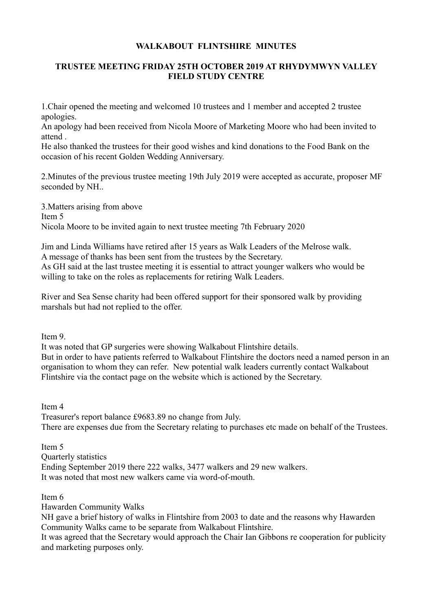## **WALKABOUT FLINTSHIRE MINUTES**

## **TRUSTEE MEETING FRIDAY 25TH OCTOBER 2019 AT RHYDYMWYN VALLEY FIELD STUDY CENTRE**

1.Chair opened the meeting and welcomed 10 trustees and 1 member and accepted 2 trustee apologies.

An apology had been received from Nicola Moore of Marketing Moore who had been invited to attend .

He also thanked the trustees for their good wishes and kind donations to the Food Bank on the occasion of his recent Golden Wedding Anniversary.

2.Minutes of the previous trustee meeting 19th July 2019 were accepted as accurate, proposer MF seconded by NH..

3.Matters arising from above Item 5 Nicola Moore to be invited again to next trustee meeting 7th February 2020

Jim and Linda Williams have retired after 15 years as Walk Leaders of the Melrose walk. A message of thanks has been sent from the trustees by the Secretary. As GH said at the last trustee meeting it is essential to attract younger walkers who would be willing to take on the roles as replacements for retiring Walk Leaders.

River and Sea Sense charity had been offered support for their sponsored walk by providing marshals but had not replied to the offer.

Item 9.

It was noted that GP surgeries were showing Walkabout Flintshire details. But in order to have patients referred to Walkabout Flintshire the doctors need a named person in an organisation to whom they can refer. New potential walk leaders currently contact Walkabout Flintshire via the contact page on the website which is actioned by the Secretary.

Item 4

Treasurer's report balance £9683.89 no change from July. There are expenses due from the Secretary relating to purchases etc made on behalf of the Trustees.

Item 5 Quarterly statistics Ending September 2019 there 222 walks, 3477 walkers and 29 new walkers. It was noted that most new walkers came via word-of-mouth.

Item 6

Hawarden Community Walks

NH gave a brief history of walks in Flintshire from 2003 to date and the reasons why Hawarden Community Walks came to be separate from Walkabout Flintshire.

It was agreed that the Secretary would approach the Chair Ian Gibbons re cooperation for publicity and marketing purposes only.